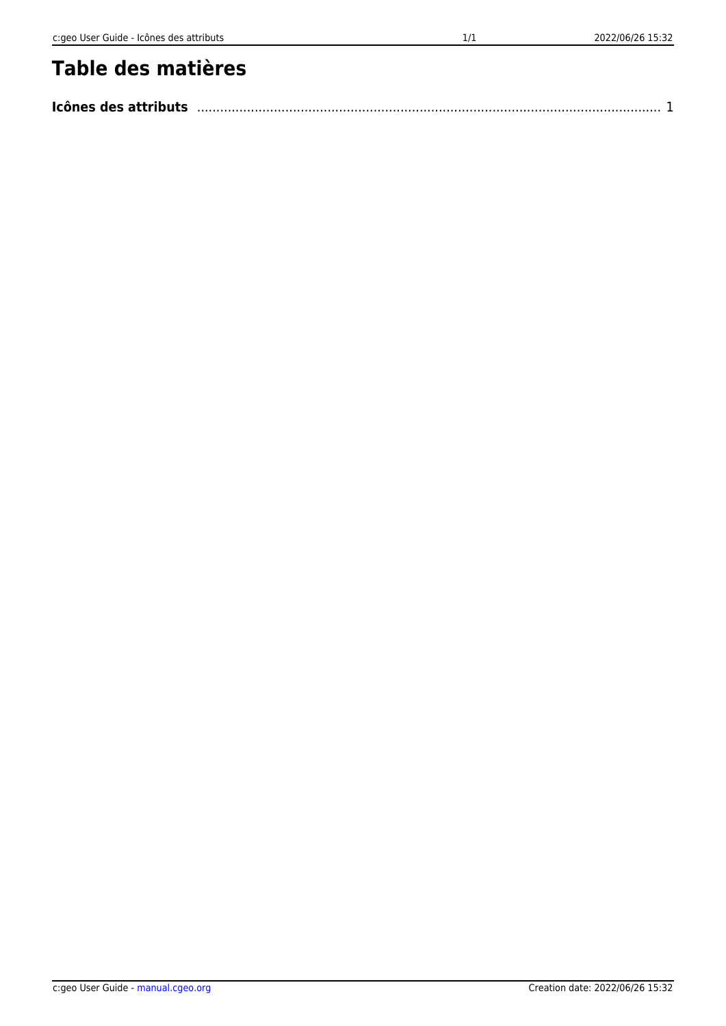| Icônes des attributs |  |  |
|----------------------|--|--|
|----------------------|--|--|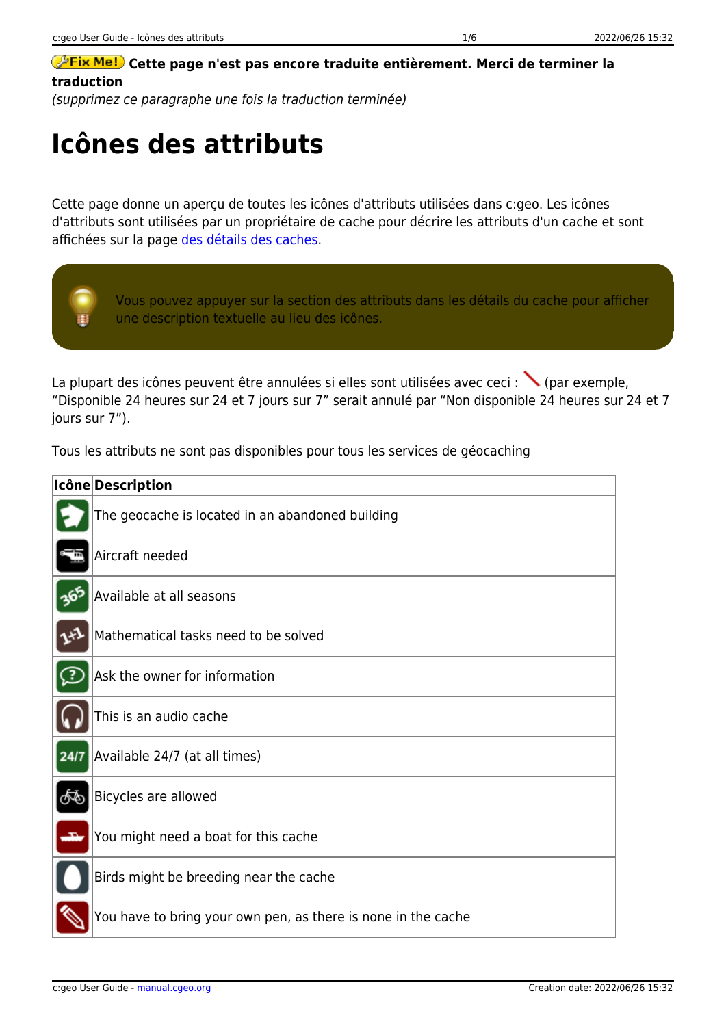## **CETTE DES CORTS DES PARAGES DES SOLUTES DES SOLUTES DES CONTRACTS DESCRIPTION OF PETERS DESCRIPTION OF PETERS traduction**

(supprimez ce paragraphe une fois la traduction terminée)

## <span id="page-1-0"></span>**Icônes des attributs**

Cette page donne un aperçu de toutes les icônes d'attributs utilisées dans c:geo. Les icônes d'attributs sont utilisées par un propriétaire de cache pour décrire les attributs d'un cache et sont affichées sur la page [des détails des caches.](https://cgeo.droescher.eu/fr/cachedetails#attributes)



La plupart des icônes peuvent être annulées si elles sont utilisées avec ceci : (par exemple, "Disponible 24 heures sur 24 et 7 jours sur 7" serait annulé par "Non disponible 24 heures sur 24 et 7 jours sur 7").

Tous les attributs ne sont pas disponibles pour tous les services de géocaching

|      | Icône Description                                             |
|------|---------------------------------------------------------------|
|      | The geocache is located in an abandoned building              |
|      | Aircraft needed                                               |
| 365  | Available at all seasons                                      |
|      | Mathematical tasks need to be solved                          |
| 7    | Ask the owner for information                                 |
|      | This is an audio cache                                        |
| 24/7 | Available 24/7 (at all times)                                 |
| க்   | Bicycles are allowed                                          |
|      | You might need a boat for this cache                          |
|      | Birds might be breeding near the cache                        |
|      | You have to bring your own pen, as there is none in the cache |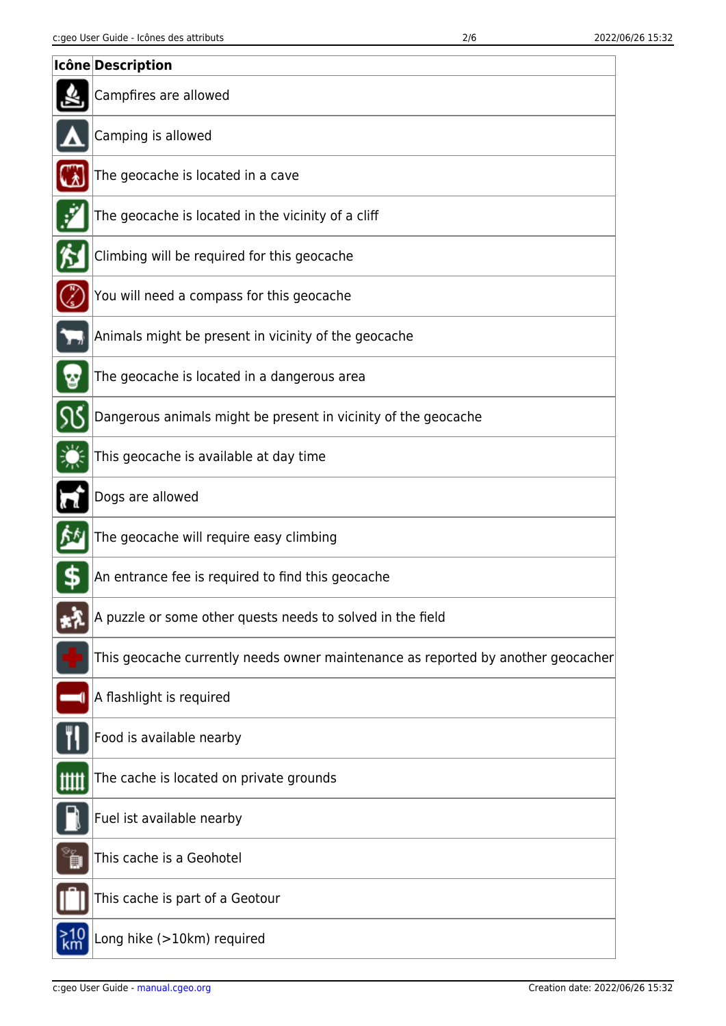|   | Icône Description                                                                |
|---|----------------------------------------------------------------------------------|
|   | Campfires are allowed                                                            |
|   | Camping is allowed                                                               |
|   | The geocache is located in a cave                                                |
| ť | The geocache is located in the vicinity of a cliff                               |
|   | Climbing will be required for this geocache                                      |
|   | You will need a compass for this geocache                                        |
|   | Animals might be present in vicinity of the geocache                             |
|   | The geocache is located in a dangerous area                                      |
|   | Dangerous animals might be present in vicinity of the geocache                   |
|   | This geocache is available at day time                                           |
|   | Dogs are allowed                                                                 |
|   | The geocache will require easy climbing                                          |
|   | An entrance fee is required to find this geocache                                |
|   | A puzzle or some other quests needs to solved in the field                       |
|   | This geocache currently needs owner maintenance as reported by another geocacher |
|   | A flashlight is required                                                         |
|   | Food is available nearby                                                         |
|   | The cache is located on private grounds                                          |
|   | Fuel ist available nearby                                                        |
|   | This cache is a Geohotel                                                         |
|   | This cache is part of a Geotour                                                  |
|   | Long hike (>10km) required                                                       |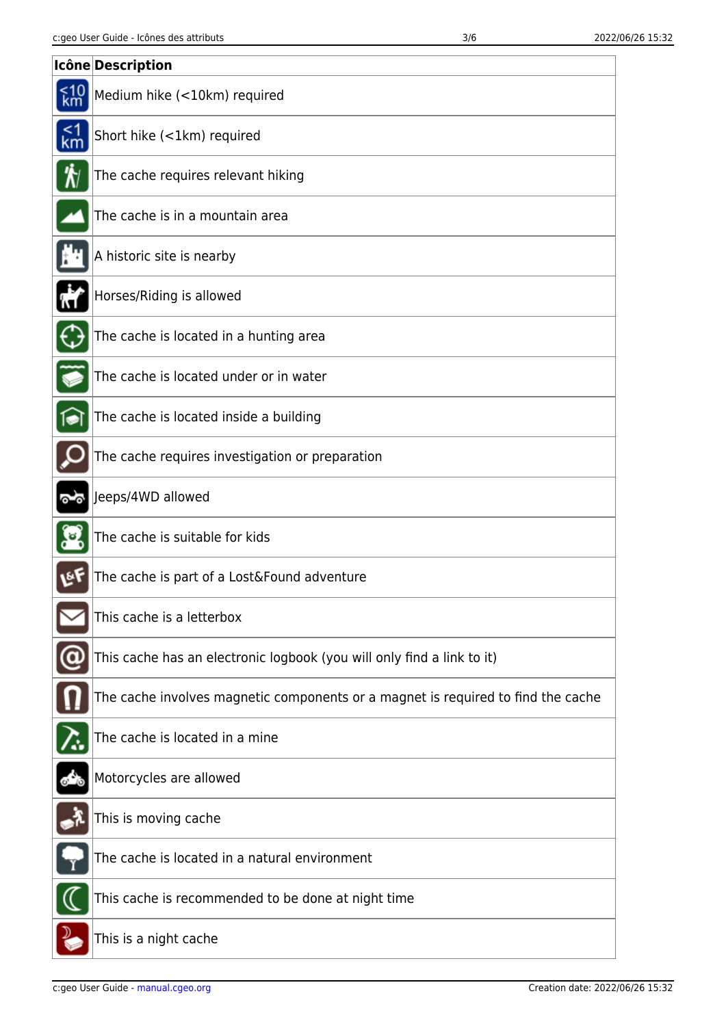|        | Icône Description                                                                |
|--------|----------------------------------------------------------------------------------|
|        | Medium hike (<10km) required                                                     |
| $1$ km | Short hike (<1km) required                                                       |
| ₩      | The cache requires relevant hiking                                               |
|        | The cache is in a mountain area                                                  |
|        | A historic site is nearby                                                        |
|        | Horses/Riding is allowed                                                         |
|        | The cache is located in a hunting area                                           |
|        | The cache is located under or in water                                           |
| জি     | The cache is located inside a building                                           |
|        | The cache requires investigation or preparation                                  |
|        | Jeeps/4WD allowed                                                                |
|        | The cache is suitable for kids                                                   |
| ē٢     | The cache is part of a Lost&Found adventure                                      |
|        | This cache is a letterbox                                                        |
|        | This cache has an electronic logbook (you will only find a link to it)           |
|        | The cache involves magnetic components or a magnet is required to find the cache |
|        | The cache is located in a mine                                                   |
|        | Motorcycles are allowed                                                          |
|        | This is moving cache                                                             |
|        | The cache is located in a natural environment                                    |
|        | This cache is recommended to be done at night time                               |
|        | This is a night cache                                                            |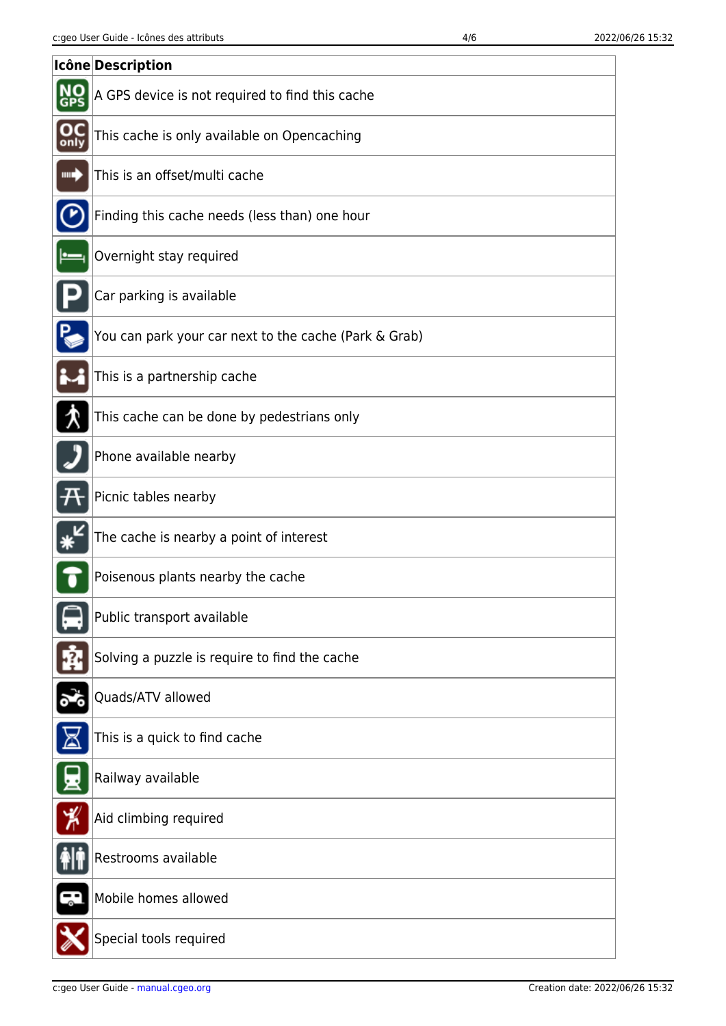|                        | Icône Description                                     |
|------------------------|-------------------------------------------------------|
|                        | A GPS device is not required to find this cache       |
| $_{\rm only}^{\rm OC}$ | This cache is only available on Opencaching           |
| ш.)                    | This is an offset/multi cache                         |
|                        | Finding this cache needs (less than) one hour         |
|                        | Overnight stay required                               |
|                        | Car parking is available                              |
|                        | You can park your car next to the cache (Park & Grab) |
|                        | This is a partnership cache                           |
|                        | This cache can be done by pedestrians only            |
|                        | Phone available nearby                                |
|                        | Picnic tables nearby                                  |
|                        | The cache is nearby a point of interest               |
|                        | Poisenous plants nearby the cache                     |
|                        | Public transport available                            |
|                        | Solving a puzzle is require to find the cache         |
|                        | Quads/ATV allowed                                     |
|                        | This is a quick to find cache                         |
|                        | Railway available                                     |
| ⊁                      | Aid climbing required                                 |
|                        | Restrooms available                                   |
|                        | Mobile homes allowed                                  |
|                        | Special tools required                                |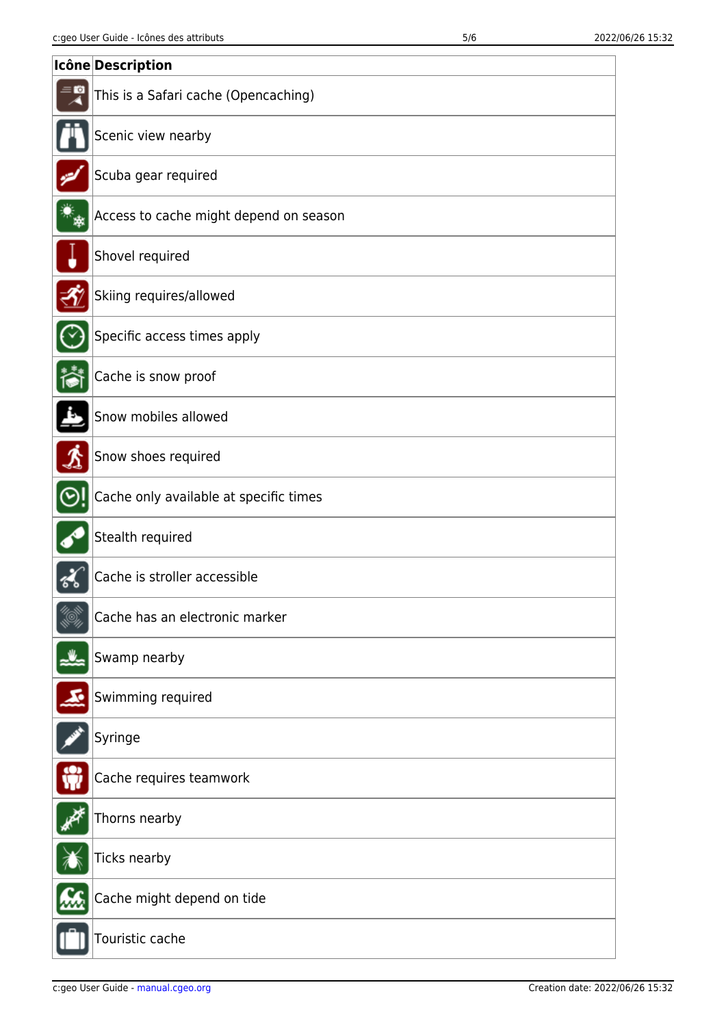|                             | Icône Description                      |
|-----------------------------|----------------------------------------|
| $= 0$                       | This is a Safari cache (Opencaching)   |
|                             | Scenic view nearby                     |
|                             | Scuba gear required                    |
|                             | Access to cache might depend on season |
|                             | Shovel required                        |
|                             | Skiing requires/allowed                |
|                             | Specific access times apply            |
|                             | Cache is snow proof                    |
|                             | Snow mobiles allowed                   |
| $\boldsymbol{\mathfrak{L}}$ | Snow shoes required                    |
|                             | Cache only available at specific times |
|                             | Stealth required                       |
|                             | Cache is stroller accessible           |
|                             | Cache has an electronic marker         |
|                             | Swamp nearby                           |
|                             | Swimming required                      |
|                             | Syringe                                |
|                             | Cache requires teamwork                |
|                             | Thorns nearby                          |
|                             | Ticks nearby                           |
|                             | Cache might depend on tide             |
|                             | Touristic cache                        |